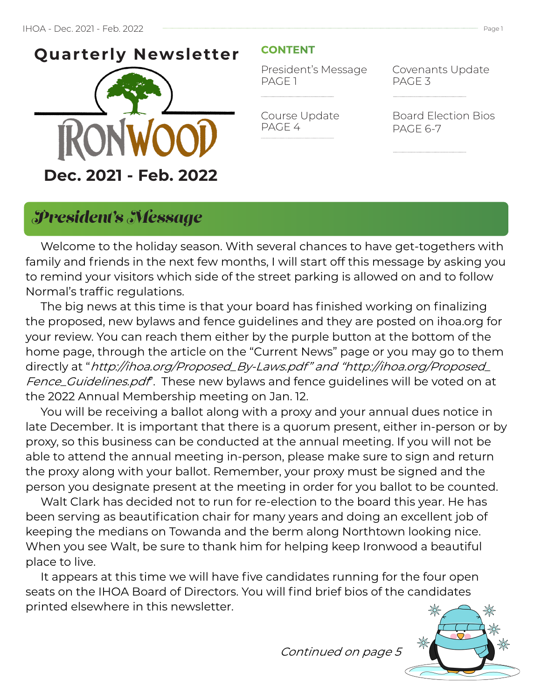

### **CONTENT**

Course Update

PAGE 4

President's Message PAGE 1

Covenants Update PAGE 3

Board Election Bios PAGE 6-7

## *President's Message*

 Welcome to the holiday season. With several chances to have get-togethers with family and friends in the next few months, I will start off this message by asking you to remind your visitors which side of the street parking is allowed on and to follow Normal's traffic regulations.

 The big news at this time is that your board has finished working on finalizing the proposed, new bylaws and fence guidelines and they are posted on ihoa.org for your review. You can reach them either by the purple button at the bottom of the home page, through the article on the "Current News" page or you may go to them directly at "http://ihoa.org/Proposed\_By-Laws.pdf" and "http://ihoa.org/Proposed\_ Fence\_Guidelines.pdf. These new bylaws and fence guidelines will be voted on at the 2022 Annual Membership meeting on Jan. 12.

 You will be receiving a ballot along with a proxy and your annual dues notice in late December. It is important that there is a quorum present, either in-person or by proxy, so this business can be conducted at the annual meeting. If you will not be able to attend the annual meeting in-person, please make sure to sign and return the proxy along with your ballot. Remember, your proxy must be signed and the person you designate present at the meeting in order for you ballot to be counted.

 Walt Clark has decided not to run for re-election to the board this year. He has been serving as beautification chair for many years and doing an excellent job of keeping the medians on Towanda and the berm along Northtown looking nice. When you see Walt, be sure to thank him for helping keep Ironwood a beautiful place to live.

 It appears at this time we will have five candidates running for the four open seats on the IHOA Board of Directors. You will find brief bios of the candidates printed elsewhere in this newsletter.

Continued on page 5

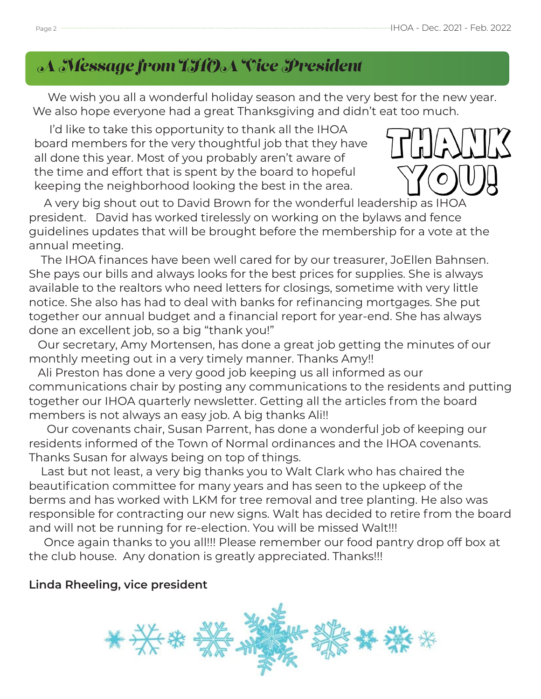# *A Message from IHOA Vice President*

We wish you all a wonderful holiday season and the very best for the new year. We also hope everyone had a great Thanksgiving and didn't eat too much.

 I'd like to take this opportunity to thank all the IHOA board members for the very thoughtful job that they have all done this year. Most of you probably aren't aware of the time and effort that is spent by the board to hopeful keeping the neighborhood looking the best in the area.



 A very big shout out to David Brown for the wonderful leadership as IHOA president. David has worked tirelessly on working on the bylaws and fence guidelines updates that will be brought before the membership for a vote at the annual meeting.

 The IHOA finances have been well cared for by our treasurer, JoEllen Bahnsen. She pays our bills and always looks for the best prices for supplies. She is always available to the realtors who need letters for closings, sometime with very little notice. She also has had to deal with banks for refinancing mortgages. She put together our annual budget and a financial report for year-end. She has always done an excellent job, so a big "thank you!"

 Our secretary, Amy Mortensen, has done a great job getting the minutes of our monthly meeting out in a very timely manner. Thanks Amy!!

 Ali Preston has done a very good job keeping us all informed as our communications chair by posting any communications to the residents and putting together our IHOA quarterly newsletter. Getting all the articles from the board members is not always an easy job. A big thanks Ali!!

 Our covenants chair, Susan Parrent, has done a wonderful job of keeping our residents informed of the Town of Normal ordinances and the IHOA covenants. Thanks Susan for always being on top of things.

 Last but not least, a very big thanks you to Walt Clark who has chaired the beautification committee for many years and has seen to the upkeep of the berms and has worked with LKM for tree removal and tree planting. He also was responsible for contracting our new signs. Walt has decided to retire from the board and will not be running for re-election. You will be missed Walt!!!

 Once again thanks to you all!!! Please remember our food pantry drop off box at the club house. Any donation is greatly appreciated. Thanks!!!

### **Linda Rheeling, vice president**

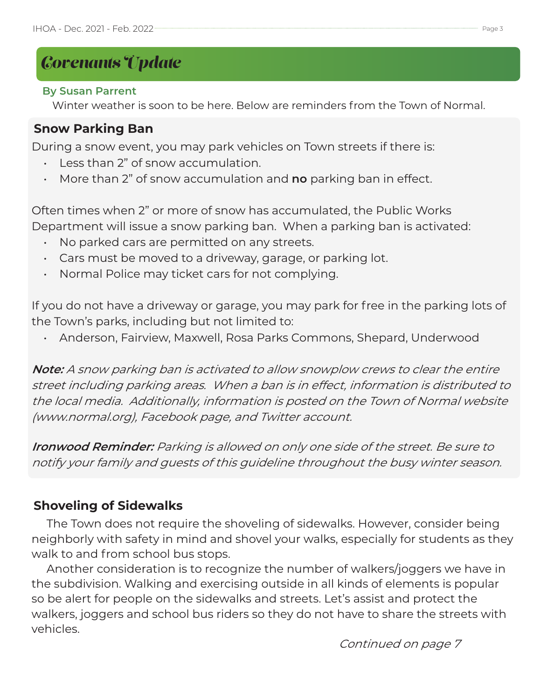# *Covenants Update*

### **By Susan Parrent**

Winter weather is soon to be here. Below are reminders from the Town of Normal.

### **Snow Parking Ban**

During a snow event, you may park vehicles on Town streets if there is:

- Less than 2" of snow accumulation.
- More than 2" of snow accumulation and **no** parking ban in effect.

Often times when 2" or more of snow has accumulated, the Public Works Department will issue a snow parking ban. When a parking ban is activated:

- No parked cars are permitted on any streets.
- Cars must be moved to a driveway, garage, or parking lot.
- Normal Police may ticket cars for not complying.

If you do not have a driveway or garage, you may park for free in the parking lots of the Town's parks, including but not limited to:

• Anderson, Fairview, Maxwell, Rosa Parks Commons, Shepard, Underwood

**Note:** A snow parking ban is activated to allow snowplow crews to clear the entire street including parking areas. When a ban is in effect, information is distributed to the local media. Additionally, information is posted on the Town of Normal website (www.normal.org), Facebook page, and Twitter account.

**Ironwood Reminder:** Parking is allowed on only one side of the street. Be sure to notify your family and guests of this guideline throughout the busy winter season.

### **Shoveling of Sidewalks**

 The Town does not require the shoveling of sidewalks. However, consider being neighborly with safety in mind and shovel your walks, especially for students as they walk to and from school bus stops.

 Another consideration is to recognize the number of walkers/joggers we have in the subdivision. Walking and exercising outside in all kinds of elements is popular so be alert for people on the sidewalks and streets. Let's assist and protect the walkers, joggers and school bus riders so they do not have to share the streets with vehicles.

Continued on page 7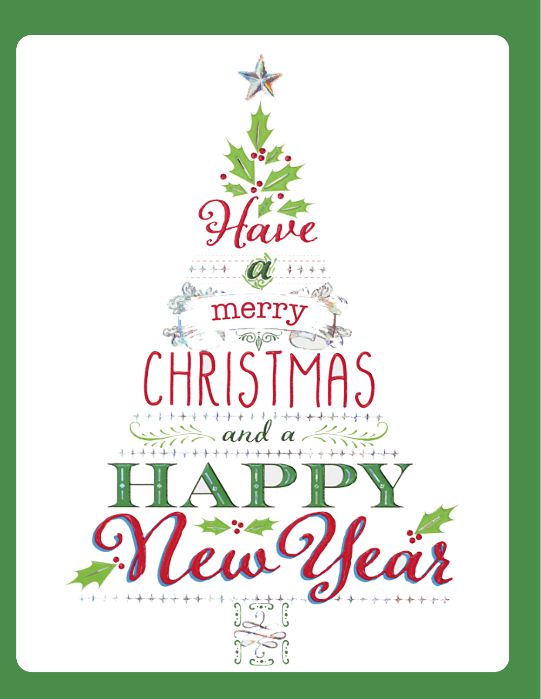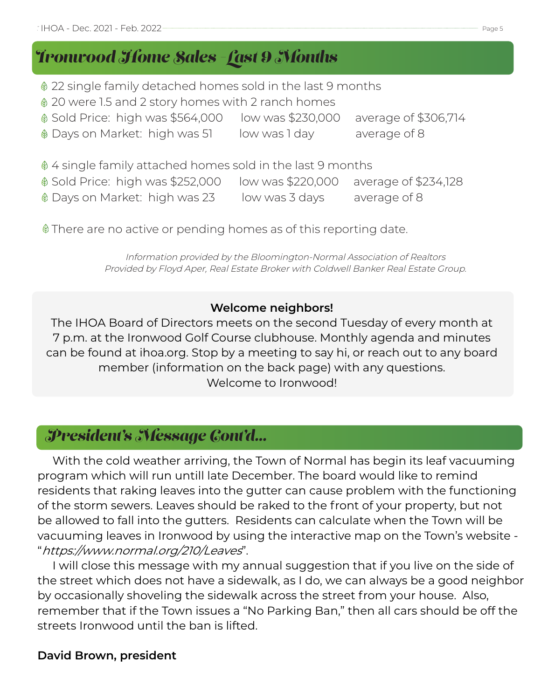# *Ironwood Home Sales -Last 9 Months*

- 22 single family detached homes sold in the last 9 months
- 20 were 1.5 and 2 story homes with 2 ranch homes
- Sold Price: high was \$564,000 low was \$230,000 average of \$306,714
- Days on Market: high was 51 low was 1 day average of 8

 $\oint$  4 single family attached homes sold in the last 9 months

| $\textcircled{ }$ Sold Price: high was \$252,000 | low was \$220,000 | average of \$234,128 |
|--------------------------------------------------|-------------------|----------------------|
| ♦ Days on Market: high was 23                    | low was 3 days    | average of 8         |

There are no active or pending homes as of this reporting date.

Information provided by the Bloomington-Normal Association of Realtors Provided by Floyd Aper, Real Estate Broker with Coldwell Banker Real Estate Group.

### **Welcome neighbors!**

The IHOA Board of Directors meets on the second Tuesday of every month at 7 p.m. at the Ironwood Golf Course clubhouse. Monthly agenda and minutes can be found at ihoa.org. Stop by a meeting to say hi, or reach out to any board member (information on the back page) with any questions. Welcome to Ironwood!

# *President's Message Cont'd...*

 With the cold weather arriving, the Town of Normal has begin its leaf vacuuming program which will run untill late December. The board would like to remind residents that raking leaves into the gutter can cause problem with the functioning of the storm sewers. Leaves should be raked to the front of your property, but not be allowed to fall into the gutters. Residents can calculate when the Town will be vacuuming leaves in Ironwood by using the interactive map on the Town's website - "https://www.normal.org/210/Leaves".

 I will close this message with my annual suggestion that if you live on the side of the street which does not have a sidewalk, as I do, we can always be a good neighbor by occasionally shoveling the sidewalk across the street from your house. Also, remember that if the Town issues a "No Parking Ban," then all cars should be off the streets Ironwood until the ban is lifted.

### **David Brown, president**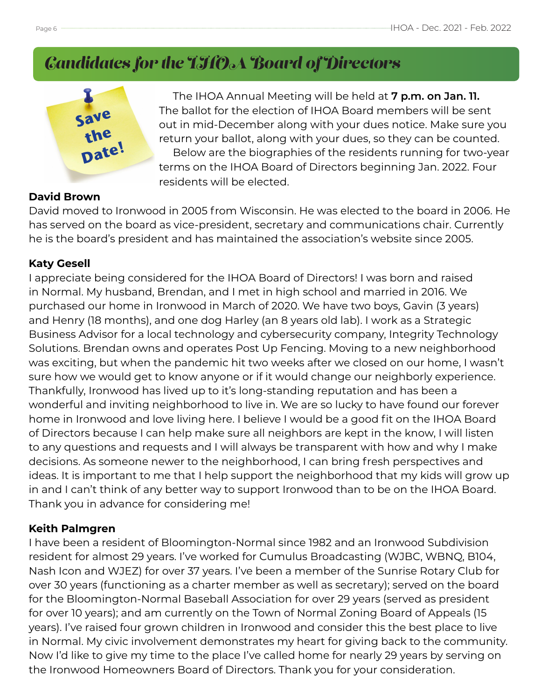# *Candidates for the IHOA Board of Directors*



 The IHOA Annual Meeting will be held at **7 p.m. on Jan. 11.** The ballot for the election of IHOA Board members will be sent out in mid-December along with your dues notice. Make sure you return your ballot, along with your dues, so they can be counted. Below are the biographies of the residents running for two-year terms on the IHOA Board of Directors beginning Jan. 2022. Four residents will be elected.

### **David Brown**

David moved to Ironwood in 2005 from Wisconsin. He was elected to the board in 2006. He has served on the board as vice-president, secretary and communications chair. Currently he is the board's president and has maintained the association's website since 2005.

#### **Katy Gesell**

I appreciate being considered for the IHOA Board of Directors! I was born and raised in Normal. My husband, Brendan, and I met in high school and married in 2016. We purchased our home in Ironwood in March of 2020. We have two boys, Gavin (3 years) and Henry (18 months), and one dog Harley (an 8 years old lab). I work as a Strategic Business Advisor for a local technology and cybersecurity company, Integrity Technology Solutions. Brendan owns and operates Post Up Fencing. Moving to a new neighborhood was exciting, but when the pandemic hit two weeks after we closed on our home, I wasn't sure how we would get to know anyone or if it would change our neighborly experience. Thankfully, Ironwood has lived up to it's long-standing reputation and has been a wonderful and inviting neighborhood to live in. We are so lucky to have found our forever home in Ironwood and love living here. I believe I would be a good fit on the IHOA Board of Directors because I can help make sure all neighbors are kept in the know, I will listen to any questions and requests and I will always be transparent with how and why I make decisions. As someone newer to the neighborhood, I can bring fresh perspectives and ideas. It is important to me that I help support the neighborhood that my kids will grow up in and I can't think of any better way to support Ironwood than to be on the IHOA Board. Thank you in advance for considering me!

#### **Keith Palmgren**

I have been a resident of Bloomington-Normal since 1982 and an Ironwood Subdivision resident for almost 29 years. I've worked for Cumulus Broadcasting (WJBC, WBNQ, B104, Nash Icon and WJEZ) for over 37 years. I've been a member of the Sunrise Rotary Club for over 30 years (functioning as a charter member as well as secretary); served on the board for the Bloomington-Normal Baseball Association for over 29 years (served as president for over 10 years); and am currently on the Town of Normal Zoning Board of Appeals (15 years). I've raised four grown children in Ironwood and consider this the best place to live in Normal. My civic involvement demonstrates my heart for giving back to the community. Now I'd like to give my time to the place I've called home for nearly 29 years by serving on the Ironwood Homeowners Board of Directors. Thank you for your consideration.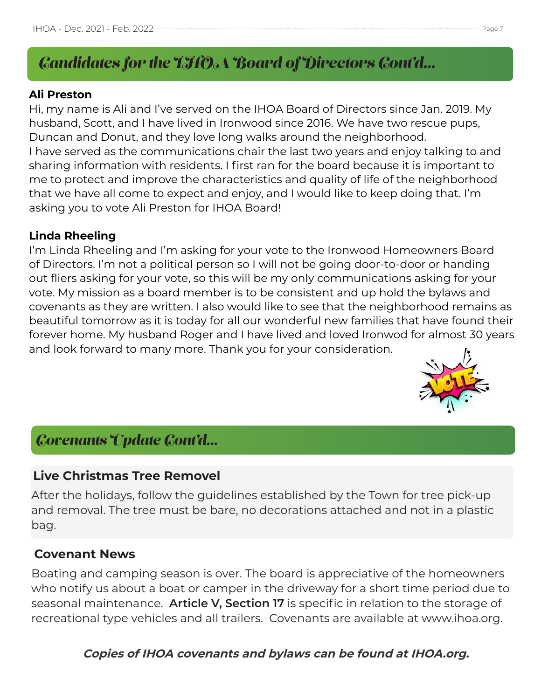# *Candidates for the IHOA Board of Directors Cont'd...*

### **Ali Preston**

Hi, my name is Ali and I've served on the IHOA Board of Directors since Jan. 2019. My husband, Scott, and I have lived in Ironwood since 2016. We have two rescue pups, Duncan and Donut, and they love long walks around the neighborhood. I have served as the communications chair the last two years and enjoy talking to and sharing information with residents. I first ran for the board because it is important to me to protect and improve the characteristics and quality of life of the neighborhood that we have all come to expect and enjoy, and I would like to keep doing that. I'm asking you to vote Ali Preston for IHOA Board!

### **Linda Rheeling**

I'm Linda Rheeling and I'm asking for your vote to the Ironwood Homeowners Board of Directors. I'm not a political person so I will not be going door-to-door or handing out fliers asking for your vote, so this will be my only communications asking for your vote. My mission as a board member is to be consistent and up hold the bylaws and covenants as they are written. I also would like to see that the neighborhood remains as beautiful tomorrow as it is today for all our wonderful new families that have found their forever home. My husband Roger and I have lived and loved Ironwod for almost 30 years and look forward to many more. Thank you for your consideration.



## *Covenants Update Cont'd...*

### **Live Christmas Tree Removel**

After the holidays, follow the guidelines established by the Town for tree pick-up and removal. The tree must be bare, no decorations attached and not in a plastic bag.

### **Covenant News**

Boating and camping season is over. The board is appreciative of the homeowners who notify us about a boat or camper in the driveway for a short time period due to seasonal maintenance. **Article V, Section 17** is specific in relation to the storage of recreational type vehicles and all trailers. Covenants are available at www.ihoa.org.

**Copies of IHOA covenants and bylaws can be found at IHOA.org.**